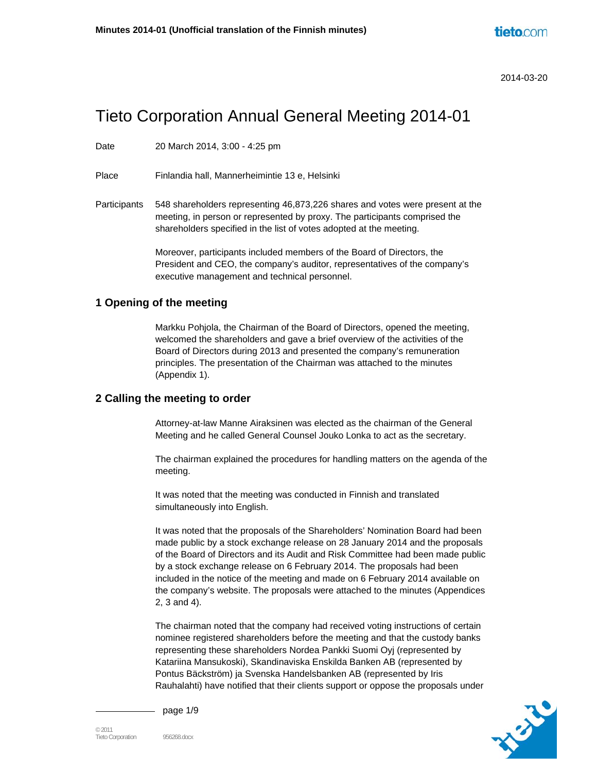# Tieto Corporation Annual General Meeting 2014-01

Date 20 March 2014, 3:00 - 4:25 pm

Place Finlandia hall, Mannerheimintie 13 e, Helsinki

Participants 548 shareholders representing 46,873,226 shares and votes were present at the meeting, in person or represented by proxy. The participants comprised the shareholders specified in the list of votes adopted at the meeting.

> Moreover, participants included members of the Board of Directors, the President and CEO, the company's auditor, representatives of the company's executive management and technical personnel.

## **1 Opening of the meeting**

Markku Pohjola, the Chairman of the Board of Directors, opened the meeting, welcomed the shareholders and gave a brief overview of the activities of the Board of Directors during 2013 and presented the company's remuneration principles. The presentation of the Chairman was attached to the minutes (Appendix 1).

### **2 Calling the meeting to order**

Attorney-at-law Manne Airaksinen was elected as the chairman of the General Meeting and he called General Counsel Jouko Lonka to act as the secretary.

The chairman explained the procedures for handling matters on the agenda of the meeting.

It was noted that the meeting was conducted in Finnish and translated simultaneously into English.

It was noted that the proposals of the Shareholders' Nomination Board had been made public by a stock exchange release on 28 January 2014 and the proposals of the Board of Directors and its Audit and Risk Committee had been made public by a stock exchange release on 6 February 2014. The proposals had been included in the notice of the meeting and made on 6 February 2014 available on the company's website. The proposals were attached to the minutes (Appendices 2, 3 and 4).

The chairman noted that the company had received voting instructions of certain nominee registered shareholders before the meeting and that the custody banks representing these shareholders Nordea Pankki Suomi Oyj (represented by Katariina Mansukoski), Skandinaviska Enskilda Banken AB (represented by Pontus Bäckström) ja Svenska Handelsbanken AB (represented by Iris Rauhalahti) have notified that their clients support or oppose the proposals under



page 1/9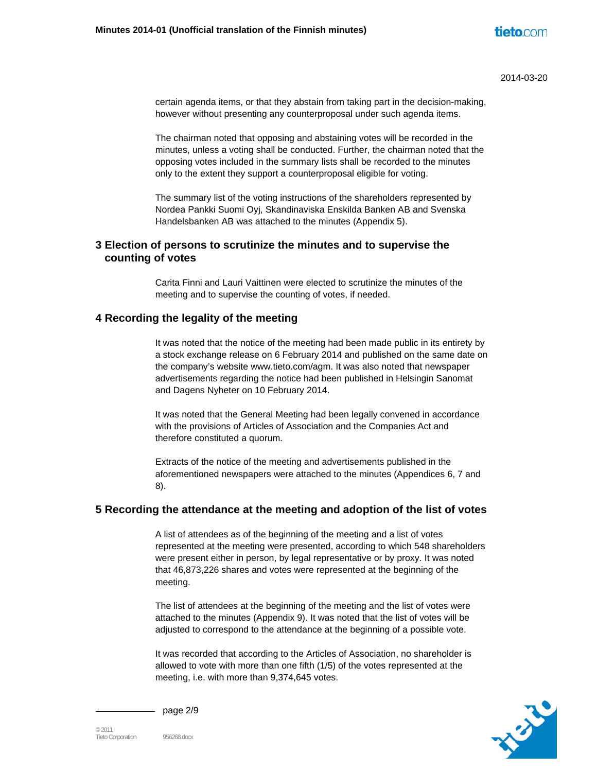certain agenda items, or that they abstain from taking part in the decision-making, however without presenting any counterproposal under such agenda items.

The chairman noted that opposing and abstaining votes will be recorded in the minutes, unless a voting shall be conducted. Further, the chairman noted that the opposing votes included in the summary lists shall be recorded to the minutes only to the extent they support a counterproposal eligible for voting.

The summary list of the voting instructions of the shareholders represented by Nordea Pankki Suomi Oyj, Skandinaviska Enskilda Banken AB and Svenska Handelsbanken AB was attached to the minutes (Appendix 5).

# **3 Election of persons to scrutinize the minutes and to supervise the counting of votes**

Carita Finni and Lauri Vaittinen were elected to scrutinize the minutes of the meeting and to supervise the counting of votes, if needed.

## **4 Recording the legality of the meeting**

It was noted that the notice of the meeting had been made public in its entirety by a stock exchange release on 6 February 2014 and published on the same date on the company's website www.tieto.com/agm. It was also noted that newspaper advertisements regarding the notice had been published in Helsingin Sanomat and Dagens Nyheter on 10 February 2014.

It was noted that the General Meeting had been legally convened in accordance with the provisions of Articles of Association and the Companies Act and therefore constituted a quorum.

Extracts of the notice of the meeting and advertisements published in the aforementioned newspapers were attached to the minutes (Appendices 6, 7 and 8).

## **5 Recording the attendance at the meeting and adoption of the list of votes**

A list of attendees as of the beginning of the meeting and a list of votes represented at the meeting were presented, according to which 548 shareholders were present either in person, by legal representative or by proxy. It was noted that 46,873,226 shares and votes were represented at the beginning of the meeting.

The list of attendees at the beginning of the meeting and the list of votes were attached to the minutes (Appendix 9). It was noted that the list of votes will be adjusted to correspond to the attendance at the beginning of a possible vote.

It was recorded that according to the Articles of Association, no shareholder is allowed to vote with more than one fifth (1/5) of the votes represented at the meeting, i.e. with more than 9,374,645 votes.



page 2/9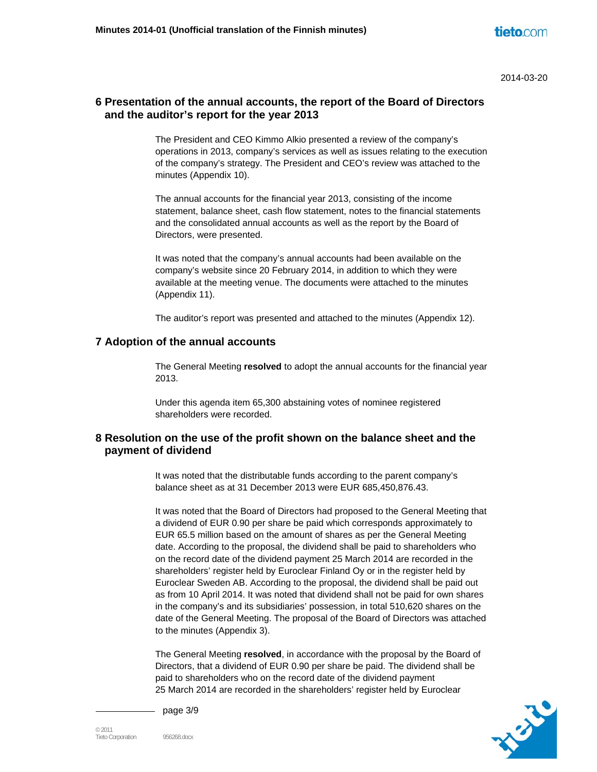## **6 Presentation of the annual accounts, the report of the Board of Directors and the auditor's report for the year 2013**

The President and CEO Kimmo Alkio presented a review of the company's operations in 2013, company's services as well as issues relating to the execution of the company's strategy. The President and CEO's review was attached to the minutes (Appendix 10).

The annual accounts for the financial year 2013, consisting of the income statement, balance sheet, cash flow statement, notes to the financial statements and the consolidated annual accounts as well as the report by the Board of Directors, were presented.

It was noted that the company's annual accounts had been available on the company's website since 20 February 2014, in addition to which they were available at the meeting venue. The documents were attached to the minutes (Appendix 11).

The auditor's report was presented and attached to the minutes (Appendix 12).

## **7 Adoption of the annual accounts**

The General Meeting **resolved** to adopt the annual accounts for the financial year 2013.

Under this agenda item 65,300 abstaining votes of nominee registered shareholders were recorded.

## **8 Resolution on the use of the profit shown on the balance sheet and the payment of dividend**

It was noted that the distributable funds according to the parent company's balance sheet as at 31 December 2013 were EUR 685,450,876.43.

It was noted that the Board of Directors had proposed to the General Meeting that a dividend of EUR 0.90 per share be paid which corresponds approximately to EUR 65.5 million based on the amount of shares as per the General Meeting date. According to the proposal, the dividend shall be paid to shareholders who on the record date of the dividend payment 25 March 2014 are recorded in the shareholders' register held by Euroclear Finland Oy or in the register held by Euroclear Sweden AB. According to the proposal, the dividend shall be paid out as from 10 April 2014. It was noted that dividend shall not be paid for own shares in the company's and its subsidiaries' possession, in total 510,620 shares on the date of the General Meeting. The proposal of the Board of Directors was attached to the minutes (Appendix 3).

The General Meeting **resolved**, in accordance with the proposal by the Board of Directors, that a dividend of EUR 0.90 per share be paid. The dividend shall be paid to shareholders who on the record date of the dividend payment 25 March 2014 are recorded in the shareholders' register held by Euroclear



page 3/9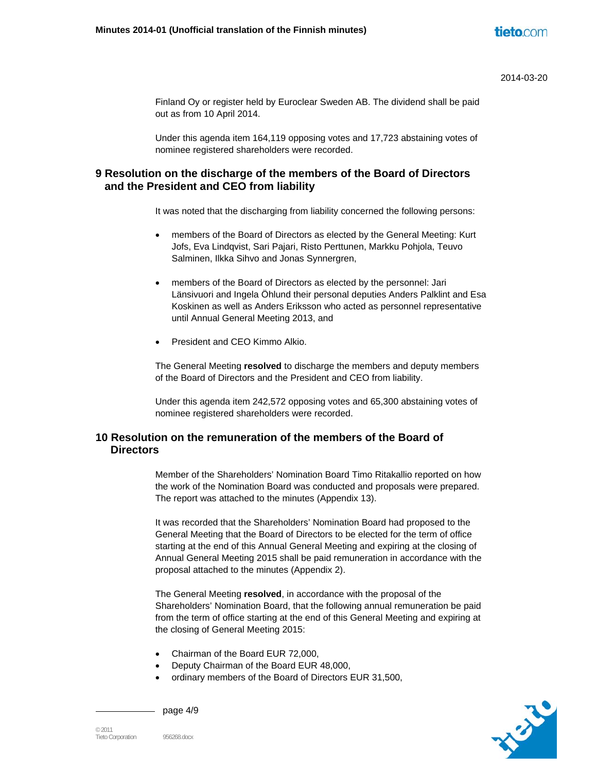Finland Oy or register held by Euroclear Sweden AB. The dividend shall be paid out as from 10 April 2014.

Under this agenda item 164,119 opposing votes and 17,723 abstaining votes of nominee registered shareholders were recorded.

# **9 Resolution on the discharge of the members of the Board of Directors and the President and CEO from liability**

It was noted that the discharging from liability concerned the following persons:

- members of the Board of Directors as elected by the General Meeting: Kurt Jofs, Eva Lindqvist, Sari Pajari, Risto Perttunen, Markku Pohjola, Teuvo Salminen, Ilkka Sihvo and Jonas Synnergren,
- members of the Board of Directors as elected by the personnel: Jari Länsivuori and Ingela Öhlund their personal deputies Anders Palklint and Esa Koskinen as well as Anders Eriksson who acted as personnel representative until Annual General Meeting 2013, and
- President and CEO Kimmo Alkio.

The General Meeting **resolved** to discharge the members and deputy members of the Board of Directors and the President and CEO from liability.

Under this agenda item 242,572 opposing votes and 65,300 abstaining votes of nominee registered shareholders were recorded.

# **10 Resolution on the remuneration of the members of the Board of Directors**

Member of the Shareholders' Nomination Board Timo Ritakallio reported on how the work of the Nomination Board was conducted and proposals were prepared. The report was attached to the minutes (Appendix 13).

It was recorded that the Shareholders' Nomination Board had proposed to the General Meeting that the Board of Directors to be elected for the term of office starting at the end of this Annual General Meeting and expiring at the closing of Annual General Meeting 2015 shall be paid remuneration in accordance with the proposal attached to the minutes (Appendix 2).

The General Meeting **resolved**, in accordance with the proposal of the Shareholders' Nomination Board, that the following annual remuneration be paid from the term of office starting at the end of this General Meeting and expiring at the closing of General Meeting 2015:

- Chairman of the Board EUR 72,000,
- Deputy Chairman of the Board EUR 48,000,
- ordinary members of the Board of Directors EUR 31,500,



page 4/9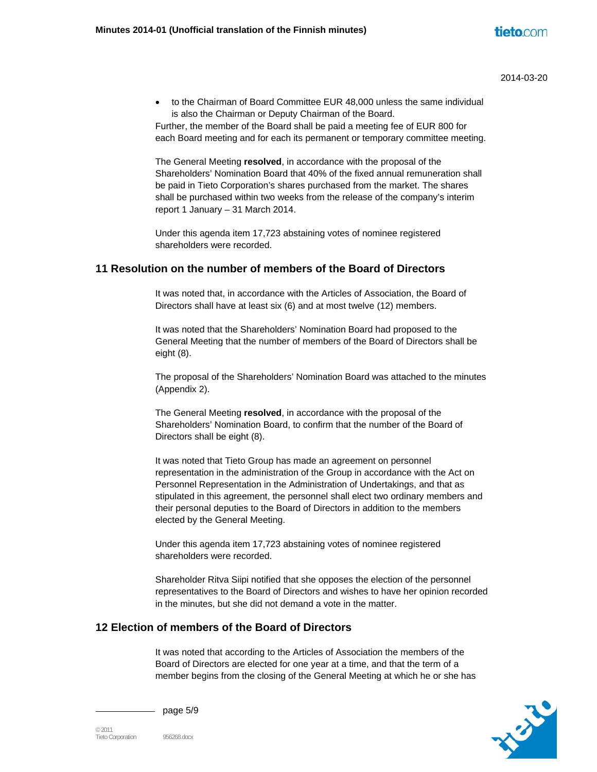to the Chairman of Board Committee EUR 48,000 unless the same individual is also the Chairman or Deputy Chairman of the Board.

Further, the member of the Board shall be paid a meeting fee of EUR 800 for each Board meeting and for each its permanent or temporary committee meeting.

The General Meeting **resolved**, in accordance with the proposal of the Shareholders' Nomination Board that 40% of the fixed annual remuneration shall be paid in Tieto Corporation's shares purchased from the market. The shares shall be purchased within two weeks from the release of the company's interim report 1 January – 31 March 2014.

Under this agenda item 17,723 abstaining votes of nominee registered shareholders were recorded.

## **11 Resolution on the number of members of the Board of Directors**

It was noted that, in accordance with the Articles of Association, the Board of Directors shall have at least six (6) and at most twelve (12) members.

It was noted that the Shareholders' Nomination Board had proposed to the General Meeting that the number of members of the Board of Directors shall be eight (8).

The proposal of the Shareholders' Nomination Board was attached to the minutes (Appendix 2).

The General Meeting **resolved**, in accordance with the proposal of the Shareholders' Nomination Board, to confirm that the number of the Board of Directors shall be eight (8).

It was noted that Tieto Group has made an agreement on personnel representation in the administration of the Group in accordance with the Act on Personnel Representation in the Administration of Undertakings, and that as stipulated in this agreement, the personnel shall elect two ordinary members and their personal deputies to the Board of Directors in addition to the members elected by the General Meeting.

Under this agenda item 17,723 abstaining votes of nominee registered shareholders were recorded.

Shareholder Ritva Siipi notified that she opposes the election of the personnel representatives to the Board of Directors and wishes to have her opinion recorded in the minutes, but she did not demand a vote in the matter.

# **12 Election of members of the Board of Directors**

It was noted that according to the Articles of Association the members of the Board of Directors are elected for one year at a time, and that the term of a member begins from the closing of the General Meeting at which he or she has



page 5/9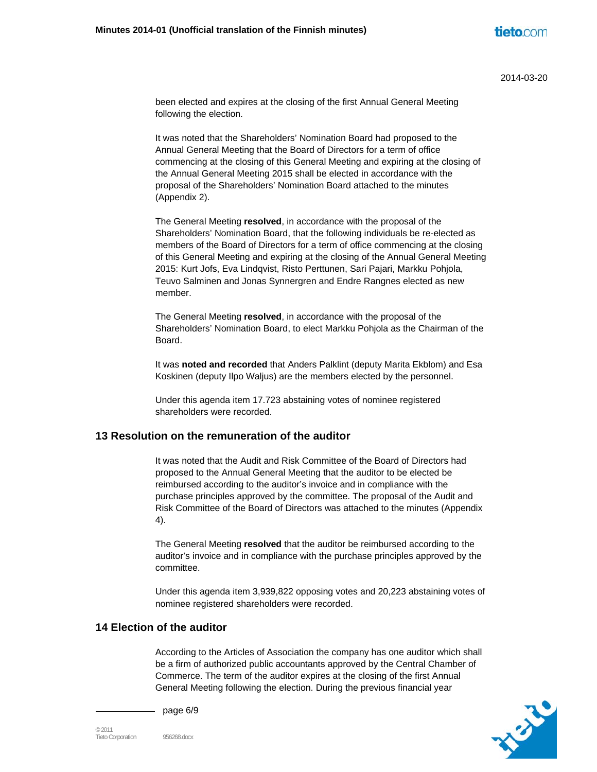been elected and expires at the closing of the first Annual General Meeting following the election.

It was noted that the Shareholders' Nomination Board had proposed to the Annual General Meeting that the Board of Directors for a term of office commencing at the closing of this General Meeting and expiring at the closing of the Annual General Meeting 2015 shall be elected in accordance with the proposal of the Shareholders' Nomination Board attached to the minutes (Appendix 2).

The General Meeting **resolved**, in accordance with the proposal of the Shareholders' Nomination Board, that the following individuals be re-elected as members of the Board of Directors for a term of office commencing at the closing of this General Meeting and expiring at the closing of the Annual General Meeting 2015: Kurt Jofs, Eva Lindqvist, Risto Perttunen, Sari Pajari, Markku Pohjola, Teuvo Salminen and Jonas Synnergren and Endre Rangnes elected as new member.

The General Meeting **resolved**, in accordance with the proposal of the Shareholders' Nomination Board, to elect Markku Pohjola as the Chairman of the Board.

It was **noted and recorded** that Anders Palklint (deputy Marita Ekblom) and Esa Koskinen (deputy Ilpo Waljus) are the members elected by the personnel.

Under this agenda item 17.723 abstaining votes of nominee registered shareholders were recorded.

## **13 Resolution on the remuneration of the auditor**

It was noted that the Audit and Risk Committee of the Board of Directors had proposed to the Annual General Meeting that the auditor to be elected be reimbursed according to the auditor's invoice and in compliance with the purchase principles approved by the committee. The proposal of the Audit and Risk Committee of the Board of Directors was attached to the minutes (Appendix 4).

The General Meeting **resolved** that the auditor be reimbursed according to the auditor's invoice and in compliance with the purchase principles approved by the committee.

Under this agenda item 3,939,822 opposing votes and 20,223 abstaining votes of nominee registered shareholders were recorded.

# **14 Election of the auditor**

According to the Articles of Association the company has one auditor which shall be a firm of authorized public accountants approved by the Central Chamber of Commerce. The term of the auditor expires at the closing of the first Annual General Meeting following the election. During the previous financial year



page 6/9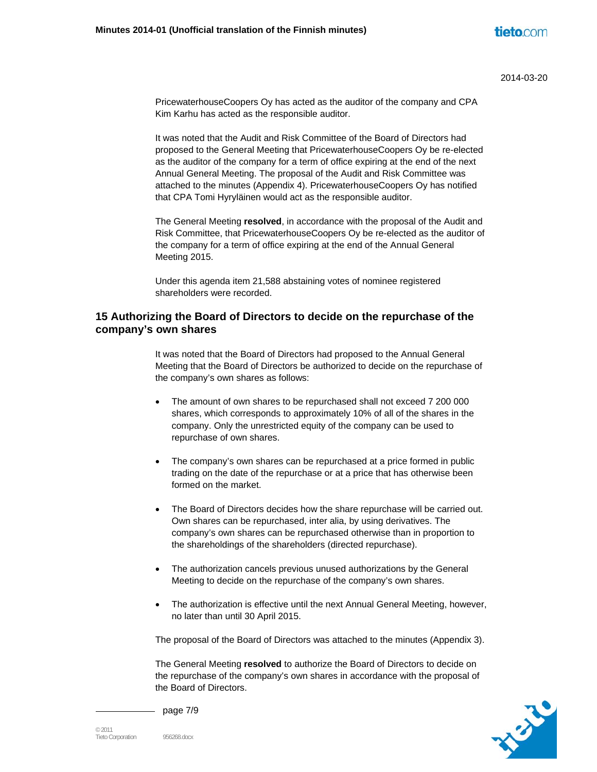PricewaterhouseCoopers Oy has acted as the auditor of the company and CPA Kim Karhu has acted as the responsible auditor.

It was noted that the Audit and Risk Committee of the Board of Directors had proposed to the General Meeting that PricewaterhouseCoopers Oy be re-elected as the auditor of the company for a term of office expiring at the end of the next Annual General Meeting. The proposal of the Audit and Risk Committee was attached to the minutes (Appendix 4). PricewaterhouseCoopers Oy has notified that CPA Tomi Hyryläinen would act as the responsible auditor.

The General Meeting **resolved**, in accordance with the proposal of the Audit and Risk Committee, that PricewaterhouseCoopers Oy be re-elected as the auditor of the company for a term of office expiring at the end of the Annual General Meeting 2015.

Under this agenda item 21,588 abstaining votes of nominee registered shareholders were recorded.

## **15 Authorizing the Board of Directors to decide on the repurchase of the company's own shares**

It was noted that the Board of Directors had proposed to the Annual General Meeting that the Board of Directors be authorized to decide on the repurchase of the company's own shares as follows:

- The amount of own shares to be repurchased shall not exceed 7 200 000 shares, which corresponds to approximately 10% of all of the shares in the company. Only the unrestricted equity of the company can be used to repurchase of own shares.
- The company's own shares can be repurchased at a price formed in public trading on the date of the repurchase or at a price that has otherwise been formed on the market.
- The Board of Directors decides how the share repurchase will be carried out. Own shares can be repurchased, inter alia, by using derivatives. The company's own shares can be repurchased otherwise than in proportion to the shareholdings of the shareholders (directed repurchase).
- The authorization cancels previous unused authorizations by the General Meeting to decide on the repurchase of the company's own shares.
- The authorization is effective until the next Annual General Meeting, however, no later than until 30 April 2015.

The proposal of the Board of Directors was attached to the minutes (Appendix 3).

The General Meeting **resolved** to authorize the Board of Directors to decide on the repurchase of the company's own shares in accordance with the proposal of the Board of Directors.



page 7/9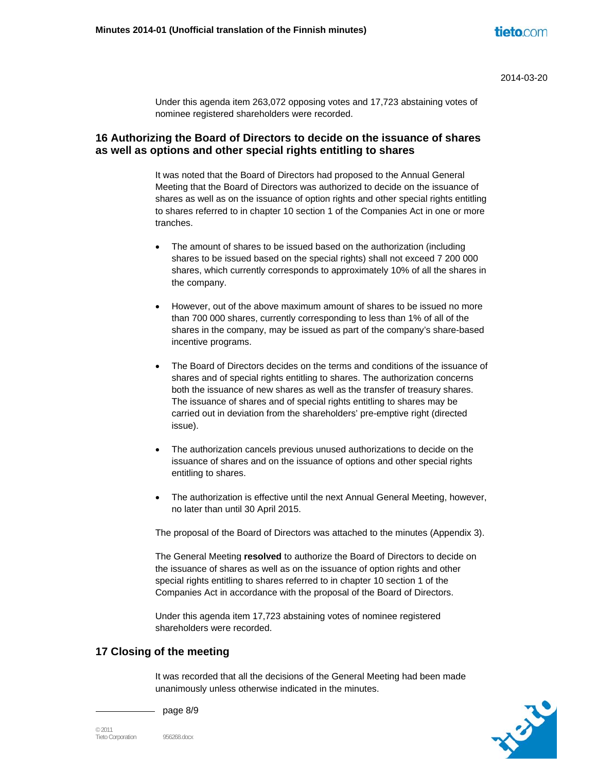Under this agenda item 263,072 opposing votes and 17,723 abstaining votes of nominee registered shareholders were recorded.

## **16 Authorizing the Board of Directors to decide on the issuance of shares as well as options and other special rights entitling to shares**

It was noted that the Board of Directors had proposed to the Annual General Meeting that the Board of Directors was authorized to decide on the issuance of shares as well as on the issuance of option rights and other special rights entitling to shares referred to in chapter 10 section 1 of the Companies Act in one or more tranches.

- The amount of shares to be issued based on the authorization (including shares to be issued based on the special rights) shall not exceed 7 200 000 shares, which currently corresponds to approximately 10% of all the shares in the company.
- However, out of the above maximum amount of shares to be issued no more than 700 000 shares, currently corresponding to less than 1% of all of the shares in the company, may be issued as part of the company's share-based incentive programs.
- The Board of Directors decides on the terms and conditions of the issuance of shares and of special rights entitling to shares. The authorization concerns both the issuance of new shares as well as the transfer of treasury shares. The issuance of shares and of special rights entitling to shares may be carried out in deviation from the shareholders' pre-emptive right (directed issue).
- The authorization cancels previous unused authorizations to decide on the issuance of shares and on the issuance of options and other special rights entitling to shares.
- The authorization is effective until the next Annual General Meeting, however, no later than until 30 April 2015.

The proposal of the Board of Directors was attached to the minutes (Appendix 3).

The General Meeting **resolved** to authorize the Board of Directors to decide on the issuance of shares as well as on the issuance of option rights and other special rights entitling to shares referred to in chapter 10 section 1 of the Companies Act in accordance with the proposal of the Board of Directors.

Under this agenda item 17,723 abstaining votes of nominee registered shareholders were recorded.

# **17 Closing of the meeting**

It was recorded that all the decisions of the General Meeting had been made unanimously unless otherwise indicated in the minutes.



page 8/9